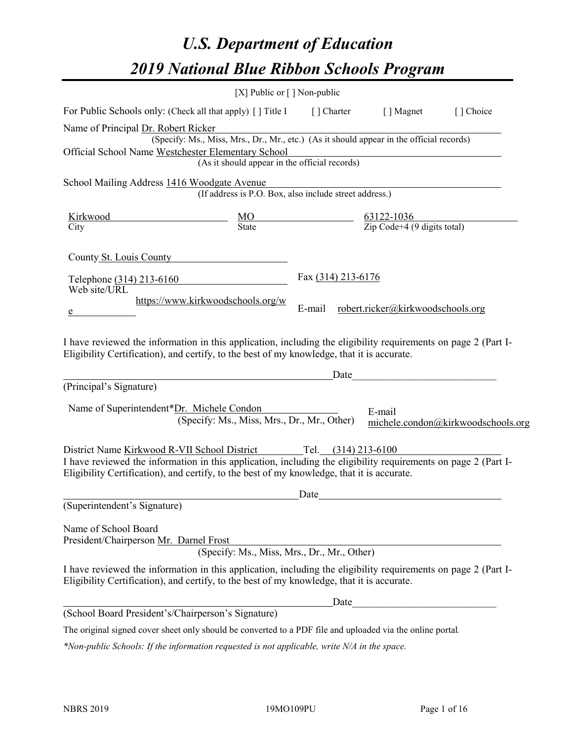# *U.S. Department of Education 2019 National Blue Ribbon Schools Program*

|                                                                                                                                                                                                                                                              | [X] Public or [] Non-public                                                              |                     |                                   |                                    |
|--------------------------------------------------------------------------------------------------------------------------------------------------------------------------------------------------------------------------------------------------------------|------------------------------------------------------------------------------------------|---------------------|-----------------------------------|------------------------------------|
| For Public Schools only: (Check all that apply) [] Title I                                                                                                                                                                                                   |                                                                                          | [] Charter          | [ ] Magnet                        | [ ] Choice                         |
| Name of Principal Dr. Robert Ricker<br>Official School Name Westchester Elementary School                                                                                                                                                                    | (Specify: Ms., Miss, Mrs., Dr., Mr., etc.) (As it should appear in the official records) |                     |                                   |                                    |
|                                                                                                                                                                                                                                                              | (As it should appear in the official records)                                            |                     |                                   |                                    |
| School Mailing Address 1416 Woodgate Avenue                                                                                                                                                                                                                  | (If address is P.O. Box, also include street address.)                                   |                     |                                   |                                    |
|                                                                                                                                                                                                                                                              |                                                                                          |                     |                                   |                                    |
| County St. Louis County                                                                                                                                                                                                                                      |                                                                                          |                     |                                   |                                    |
| Telephone (314) 213-6160<br>Web site/URL                                                                                                                                                                                                                     |                                                                                          | Fax (314) 213-6176  |                                   |                                    |
|                                                                                                                                                                                                                                                              | https://www.kirkwoodschools.org/w                                                        | E-mail              | robert.ricker@kirkwoodschools.org |                                    |
| I have reviewed the information in this application, including the eligibility requirements on page 2 (Part I-<br>Eligibility Certification), and certify, to the best of my knowledge, that it is accurate.                                                 |                                                                                          |                     |                                   |                                    |
|                                                                                                                                                                                                                                                              |                                                                                          | Date                |                                   |                                    |
| (Principal's Signature)                                                                                                                                                                                                                                      |                                                                                          |                     |                                   |                                    |
| Name of Superintendent*Dr. Michele Condon                                                                                                                                                                                                                    | (Specify: Ms., Miss, Mrs., Dr., Mr., Other)                                              |                     | E-mail                            | michele.condon@kirkwoodschools.org |
| District Name Kirkwood R-VII School District<br>I have reviewed the information in this application, including the eligibility requirements on page 2 (Part I-<br>Eligibility Certification), and certify, to the best of my knowledge, that it is accurate. |                                                                                          | Tel. (314) 213-6100 |                                   |                                    |
|                                                                                                                                                                                                                                                              |                                                                                          | Date                |                                   |                                    |
| (Superintendent's Signature)                                                                                                                                                                                                                                 |                                                                                          |                     |                                   |                                    |
| Name of School Board<br>President/Chairperson Mr. Darnel Frost                                                                                                                                                                                               | (Specify: Ms., Miss, Mrs., Dr., Mr., Other)                                              |                     |                                   |                                    |
| I have reviewed the information in this application, including the eligibility requirements on page 2 (Part I-<br>Eligibility Certification), and certify, to the best of my knowledge, that it is accurate.                                                 |                                                                                          |                     |                                   |                                    |
|                                                                                                                                                                                                                                                              |                                                                                          | Date                |                                   |                                    |
| (School Board President's/Chairperson's Signature)                                                                                                                                                                                                           |                                                                                          |                     |                                   |                                    |
| The original signed cover sheet only should be converted to a PDF file and uploaded via the online portal.                                                                                                                                                   |                                                                                          |                     |                                   |                                    |

*\*Non-public Schools: If the information requested is not applicable, write N/A in the space.*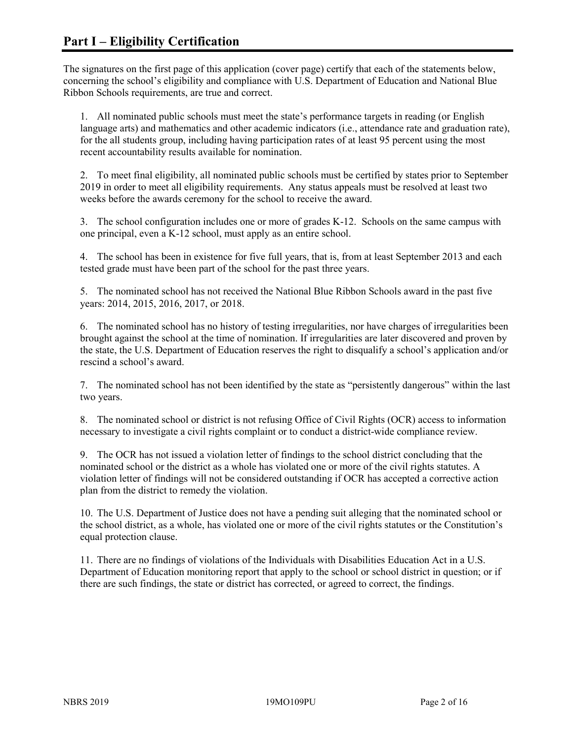The signatures on the first page of this application (cover page) certify that each of the statements below, concerning the school's eligibility and compliance with U.S. Department of Education and National Blue Ribbon Schools requirements, are true and correct.

1. All nominated public schools must meet the state's performance targets in reading (or English language arts) and mathematics and other academic indicators (i.e., attendance rate and graduation rate), for the all students group, including having participation rates of at least 95 percent using the most recent accountability results available for nomination.

2. To meet final eligibility, all nominated public schools must be certified by states prior to September 2019 in order to meet all eligibility requirements. Any status appeals must be resolved at least two weeks before the awards ceremony for the school to receive the award.

3. The school configuration includes one or more of grades K-12. Schools on the same campus with one principal, even a K-12 school, must apply as an entire school.

4. The school has been in existence for five full years, that is, from at least September 2013 and each tested grade must have been part of the school for the past three years.

5. The nominated school has not received the National Blue Ribbon Schools award in the past five years: 2014, 2015, 2016, 2017, or 2018.

6. The nominated school has no history of testing irregularities, nor have charges of irregularities been brought against the school at the time of nomination. If irregularities are later discovered and proven by the state, the U.S. Department of Education reserves the right to disqualify a school's application and/or rescind a school's award.

7. The nominated school has not been identified by the state as "persistently dangerous" within the last two years.

8. The nominated school or district is not refusing Office of Civil Rights (OCR) access to information necessary to investigate a civil rights complaint or to conduct a district-wide compliance review.

9. The OCR has not issued a violation letter of findings to the school district concluding that the nominated school or the district as a whole has violated one or more of the civil rights statutes. A violation letter of findings will not be considered outstanding if OCR has accepted a corrective action plan from the district to remedy the violation.

10. The U.S. Department of Justice does not have a pending suit alleging that the nominated school or the school district, as a whole, has violated one or more of the civil rights statutes or the Constitution's equal protection clause.

11. There are no findings of violations of the Individuals with Disabilities Education Act in a U.S. Department of Education monitoring report that apply to the school or school district in question; or if there are such findings, the state or district has corrected, or agreed to correct, the findings.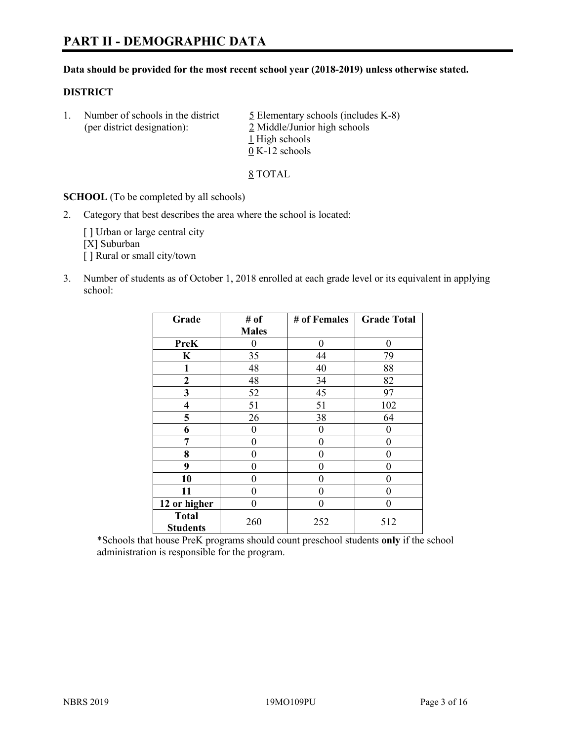#### **Data should be provided for the most recent school year (2018-2019) unless otherwise stated.**

#### **DISTRICT**

1. Number of schools in the district  $\frac{5}{2}$  Elementary schools (includes K-8) (per district designation): 2 Middle/Junior high schools 1 High schools 0 K-12 schools

8 TOTAL

**SCHOOL** (To be completed by all schools)

2. Category that best describes the area where the school is located:

[ ] Urban or large central city [X] Suburban [] Rural or small city/town

3. Number of students as of October 1, 2018 enrolled at each grade level or its equivalent in applying school:

| Grade                           | # of         | # of Females | <b>Grade Total</b> |
|---------------------------------|--------------|--------------|--------------------|
|                                 | <b>Males</b> |              |                    |
| <b>PreK</b>                     | 0            | $\theta$     | 0                  |
| $\mathbf K$                     | 35           | 44           | 79                 |
| 1                               | 48           | 40           | 88                 |
| 2                               | 48           | 34           | 82                 |
| 3                               | 52           | 45           | 97                 |
| $\overline{\mathbf{4}}$         | 51           | 51           | 102                |
| 5                               | 26           | 38           | 64                 |
| 6                               | 0            | $\theta$     | 0                  |
| 7                               | 0            | $\theta$     | 0                  |
| 8                               | 0            | $\theta$     | 0                  |
| 9                               | 0            | $\theta$     | 0                  |
| 10                              | 0            | $\theta$     | 0                  |
| 11                              | $\theta$     | 0            | 0                  |
| 12 or higher                    | 0            | 0            | 0                  |
| <b>Total</b><br><b>Students</b> | 260          | 252          | 512                |

\*Schools that house PreK programs should count preschool students **only** if the school administration is responsible for the program.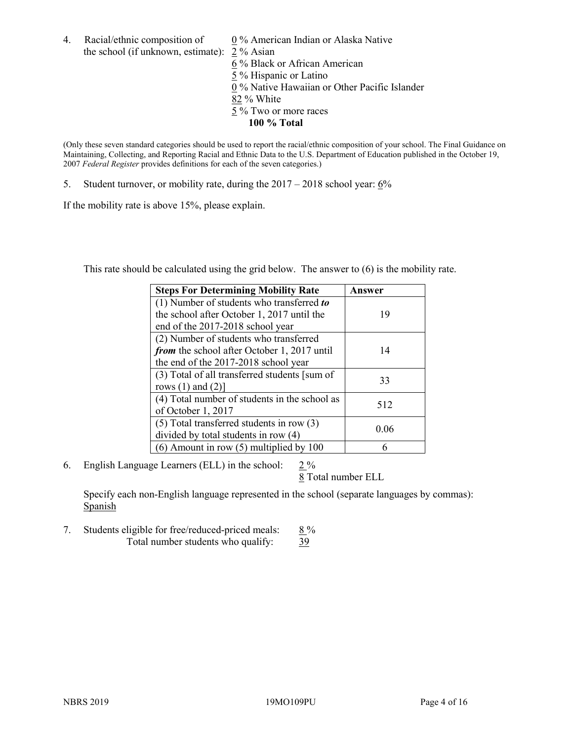4. Racial/ethnic composition of  $0\%$  American Indian or Alaska Native the school (if unknown, estimate): 2 % Asian

 % Black or African American % Hispanic or Latino % Native Hawaiian or Other Pacific Islander 82 % White % Two or more races **100 % Total**

(Only these seven standard categories should be used to report the racial/ethnic composition of your school. The Final Guidance on Maintaining, Collecting, and Reporting Racial and Ethnic Data to the U.S. Department of Education published in the October 19, 2007 *Federal Register* provides definitions for each of the seven categories.)

5. Student turnover, or mobility rate, during the 2017 – 2018 school year: 6%

If the mobility rate is above 15%, please explain.

This rate should be calculated using the grid below. The answer to (6) is the mobility rate.

| <b>Steps For Determining Mobility Rate</b>    | Answer |
|-----------------------------------------------|--------|
| (1) Number of students who transferred to     |        |
| the school after October 1, 2017 until the    | 19     |
| end of the 2017-2018 school year              |        |
| (2) Number of students who transferred        |        |
| from the school after October 1, 2017 until   | 14     |
| the end of the 2017-2018 school year          |        |
| (3) Total of all transferred students [sum of |        |
| rows $(1)$ and $(2)$ ]                        | 33     |
| (4) Total number of students in the school as |        |
| of October 1, 2017                            | 512    |
| (5) Total transferred students in row (3)     |        |
| divided by total students in row (4)          | 0.06   |
| $(6)$ Amount in row $(5)$ multiplied by 100   |        |

6. English Language Learners (ELL) in the school:  $2\%$ 

8 Total number ELL

Specify each non-English language represented in the school (separate languages by commas): **Spanish** 

7. Students eligible for free/reduced-priced meals:  $8\%$ Total number students who qualify: 39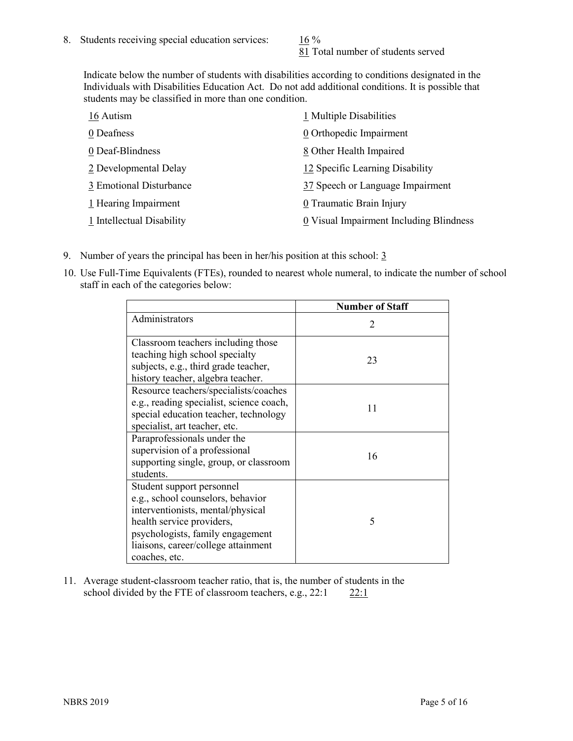81 Total number of students served

Indicate below the number of students with disabilities according to conditions designated in the Individuals with Disabilities Education Act. Do not add additional conditions. It is possible that students may be classified in more than one condition.

| 16 Autism                 | 1 Multiple Disabilities                 |
|---------------------------|-----------------------------------------|
| 0 Deafness                | 0 Orthopedic Impairment                 |
| 0 Deaf-Blindness          | 8 Other Health Impaired                 |
| 2 Developmental Delay     | 12 Specific Learning Disability         |
| 3 Emotional Disturbance   | 37 Speech or Language Impairment        |
| 1 Hearing Impairment      | 0 Traumatic Brain Injury                |
| 1 Intellectual Disability | 0 Visual Impairment Including Blindness |

- 9. Number of years the principal has been in her/his position at this school:  $\frac{3}{5}$
- 10. Use Full-Time Equivalents (FTEs), rounded to nearest whole numeral, to indicate the number of school staff in each of the categories below:

|                                                                                                                                                                                                                              | <b>Number of Staff</b>      |
|------------------------------------------------------------------------------------------------------------------------------------------------------------------------------------------------------------------------------|-----------------------------|
| Administrators                                                                                                                                                                                                               | $\mathcal{D}_{\mathcal{L}}$ |
| Classroom teachers including those<br>teaching high school specialty<br>subjects, e.g., third grade teacher,<br>history teacher, algebra teacher.                                                                            | 23                          |
| Resource teachers/specialists/coaches<br>e.g., reading specialist, science coach,<br>special education teacher, technology<br>specialist, art teacher, etc.                                                                  | 11                          |
| Paraprofessionals under the<br>supervision of a professional<br>supporting single, group, or classroom<br>students.                                                                                                          | 16                          |
| Student support personnel<br>e.g., school counselors, behavior<br>interventionists, mental/physical<br>health service providers,<br>psychologists, family engagement<br>liaisons, career/college attainment<br>coaches, etc. | 5                           |

11. Average student-classroom teacher ratio, that is, the number of students in the school divided by the FTE of classroom teachers, e.g.,  $22:1$  22:1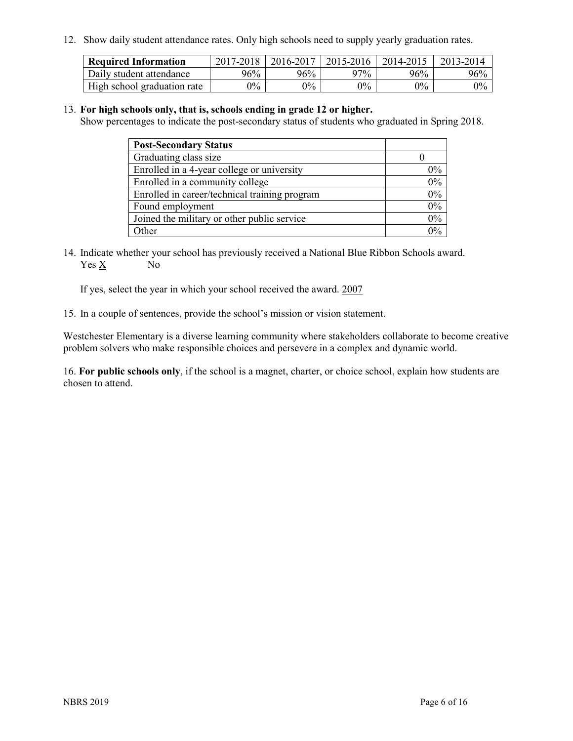12. Show daily student attendance rates. Only high schools need to supply yearly graduation rates.

| <b>Required Information</b> | $2017 - 2018$ | 2016-2017 | 2015-2016 | 2014-2015 | 2013-2014 |
|-----------------------------|---------------|-----------|-----------|-----------|-----------|
| Daily student attendance    | 96%           | 96%       | 97%       | 96%       | $96\%$    |
| High school graduation rate | $0\%$         | $0\%$     | $0\%$     | $9\%$     | $0\%$     |

#### 13. **For high schools only, that is, schools ending in grade 12 or higher.**

Show percentages to indicate the post-secondary status of students who graduated in Spring 2018.

| <b>Post-Secondary Status</b>                  |       |
|-----------------------------------------------|-------|
| Graduating class size                         |       |
| Enrolled in a 4-year college or university    | $0\%$ |
| Enrolled in a community college               | 0%    |
| Enrolled in career/technical training program | $0\%$ |
| Found employment                              | 0%    |
| Joined the military or other public service   | 0%    |
| Other                                         | $0\%$ |

14. Indicate whether your school has previously received a National Blue Ribbon Schools award. Yes X No

If yes, select the year in which your school received the award. 2007

15. In a couple of sentences, provide the school's mission or vision statement.

Westchester Elementary is a diverse learning community where stakeholders collaborate to become creative problem solvers who make responsible choices and persevere in a complex and dynamic world.

16. **For public schools only**, if the school is a magnet, charter, or choice school, explain how students are chosen to attend.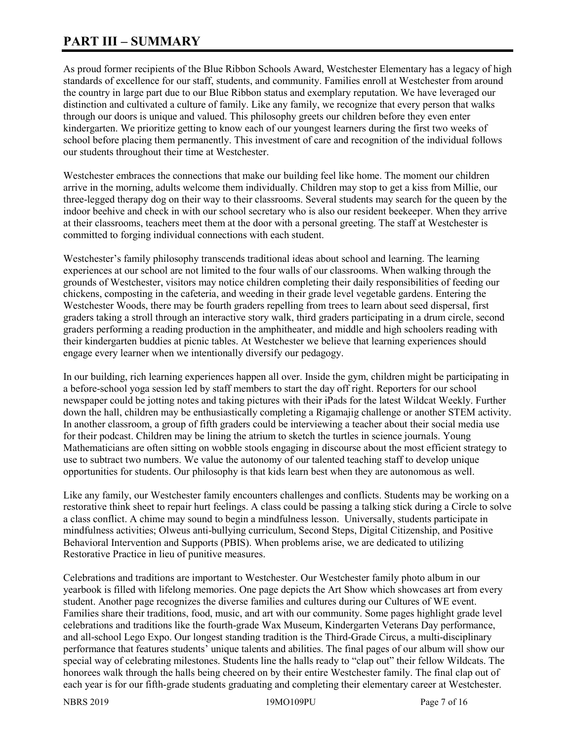# **PART III – SUMMARY**

As proud former recipients of the Blue Ribbon Schools Award, Westchester Elementary has a legacy of high standards of excellence for our staff, students, and community. Families enroll at Westchester from around the country in large part due to our Blue Ribbon status and exemplary reputation. We have leveraged our distinction and cultivated a culture of family. Like any family, we recognize that every person that walks through our doors is unique and valued. This philosophy greets our children before they even enter kindergarten. We prioritize getting to know each of our youngest learners during the first two weeks of school before placing them permanently. This investment of care and recognition of the individual follows our students throughout their time at Westchester.

Westchester embraces the connections that make our building feel like home. The moment our children arrive in the morning, adults welcome them individually. Children may stop to get a kiss from Millie, our three-legged therapy dog on their way to their classrooms. Several students may search for the queen by the indoor beehive and check in with our school secretary who is also our resident beekeeper. When they arrive at their classrooms, teachers meet them at the door with a personal greeting. The staff at Westchester is committed to forging individual connections with each student.

Westchester's family philosophy transcends traditional ideas about school and learning. The learning experiences at our school are not limited to the four walls of our classrooms. When walking through the grounds of Westchester, visitors may notice children completing their daily responsibilities of feeding our chickens, composting in the cafeteria, and weeding in their grade level vegetable gardens. Entering the Westchester Woods, there may be fourth graders repelling from trees to learn about seed dispersal, first graders taking a stroll through an interactive story walk, third graders participating in a drum circle, second graders performing a reading production in the amphitheater, and middle and high schoolers reading with their kindergarten buddies at picnic tables. At Westchester we believe that learning experiences should engage every learner when we intentionally diversify our pedagogy.

In our building, rich learning experiences happen all over. Inside the gym, children might be participating in a before-school yoga session led by staff members to start the day off right. Reporters for our school newspaper could be jotting notes and taking pictures with their iPads for the latest Wildcat Weekly. Further down the hall, children may be enthusiastically completing a Rigamajig challenge or another STEM activity. In another classroom, a group of fifth graders could be interviewing a teacher about their social media use for their podcast. Children may be lining the atrium to sketch the turtles in science journals. Young Mathematicians are often sitting on wobble stools engaging in discourse about the most efficient strategy to use to subtract two numbers. We value the autonomy of our talented teaching staff to develop unique opportunities for students. Our philosophy is that kids learn best when they are autonomous as well.

Like any family, our Westchester family encounters challenges and conflicts. Students may be working on a restorative think sheet to repair hurt feelings. A class could be passing a talking stick during a Circle to solve a class conflict. A chime may sound to begin a mindfulness lesson. Universally, students participate in mindfulness activities; Olweus anti-bullying curriculum, Second Steps, Digital Citizenship, and Positive Behavioral Intervention and Supports (PBIS). When problems arise, we are dedicated to utilizing Restorative Practice in lieu of punitive measures.

Celebrations and traditions are important to Westchester. Our Westchester family photo album in our yearbook is filled with lifelong memories. One page depicts the Art Show which showcases art from every student. Another page recognizes the diverse families and cultures during our Cultures of WE event. Families share their traditions, food, music, and art with our community. Some pages highlight grade level celebrations and traditions like the fourth-grade Wax Museum, Kindergarten Veterans Day performance, and all-school Lego Expo. Our longest standing tradition is the Third-Grade Circus, a multi-disciplinary performance that features students' unique talents and abilities. The final pages of our album will show our special way of celebrating milestones. Students line the halls ready to "clap out" their fellow Wildcats. The honorees walk through the halls being cheered on by their entire Westchester family. The final clap out of each year is for our fifth-grade students graduating and completing their elementary career at Westchester.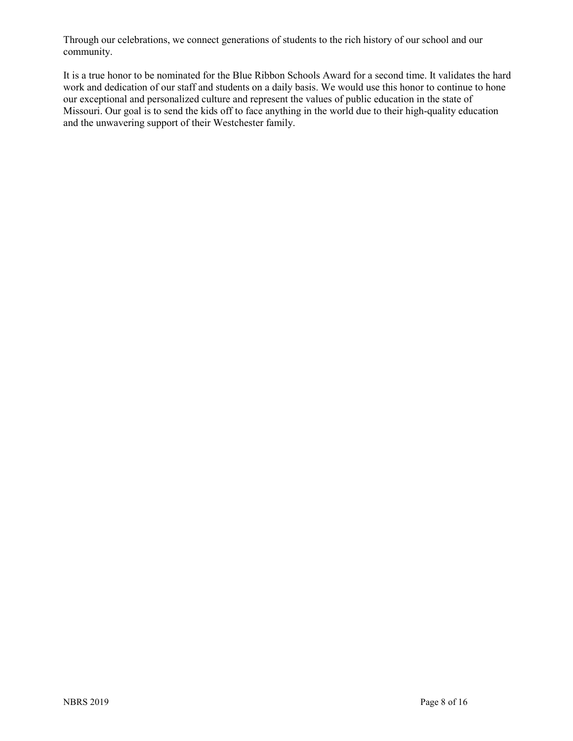Through our celebrations, we connect generations of students to the rich history of our school and our community.

It is a true honor to be nominated for the Blue Ribbon Schools Award for a second time. It validates the hard work and dedication of our staff and students on a daily basis. We would use this honor to continue to hone our exceptional and personalized culture and represent the values of public education in the state of Missouri. Our goal is to send the kids off to face anything in the world due to their high-quality education and the unwavering support of their Westchester family.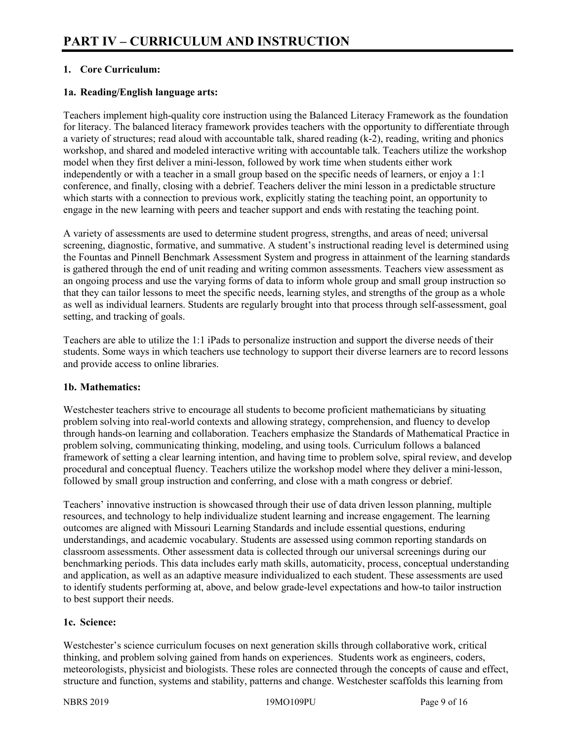# **1. Core Curriculum:**

# **1a. Reading/English language arts:**

Teachers implement high-quality core instruction using the Balanced Literacy Framework as the foundation for literacy. The balanced literacy framework provides teachers with the opportunity to differentiate through a variety of structures; read aloud with accountable talk, shared reading (k-2), reading, writing and phonics workshop, and shared and modeled interactive writing with accountable talk. Teachers utilize the workshop model when they first deliver a mini-lesson, followed by work time when students either work independently or with a teacher in a small group based on the specific needs of learners, or enjoy a 1:1 conference, and finally, closing with a debrief. Teachers deliver the mini lesson in a predictable structure which starts with a connection to previous work, explicitly stating the teaching point, an opportunity to engage in the new learning with peers and teacher support and ends with restating the teaching point.

A variety of assessments are used to determine student progress, strengths, and areas of need; universal screening, diagnostic, formative, and summative. A student's instructional reading level is determined using the Fountas and Pinnell Benchmark Assessment System and progress in attainment of the learning standards is gathered through the end of unit reading and writing common assessments. Teachers view assessment as an ongoing process and use the varying forms of data to inform whole group and small group instruction so that they can tailor lessons to meet the specific needs, learning styles, and strengths of the group as a whole as well as individual learners. Students are regularly brought into that process through self-assessment, goal setting, and tracking of goals.

Teachers are able to utilize the 1:1 iPads to personalize instruction and support the diverse needs of their students. Some ways in which teachers use technology to support their diverse learners are to record lessons and provide access to online libraries.

#### **1b. Mathematics:**

Westchester teachers strive to encourage all students to become proficient mathematicians by situating problem solving into real-world contexts and allowing strategy, comprehension, and fluency to develop through hands-on learning and collaboration. Teachers emphasize the Standards of Mathematical Practice in problem solving, communicating thinking, modeling, and using tools. Curriculum follows a balanced framework of setting a clear learning intention, and having time to problem solve, spiral review, and develop procedural and conceptual fluency. Teachers utilize the workshop model where they deliver a mini-lesson, followed by small group instruction and conferring, and close with a math congress or debrief.

Teachers' innovative instruction is showcased through their use of data driven lesson planning, multiple resources, and technology to help individualize student learning and increase engagement. The learning outcomes are aligned with Missouri Learning Standards and include essential questions, enduring understandings, and academic vocabulary. Students are assessed using common reporting standards on classroom assessments. Other assessment data is collected through our universal screenings during our benchmarking periods. This data includes early math skills, automaticity, process, conceptual understanding and application, as well as an adaptive measure individualized to each student. These assessments are used to identify students performing at, above, and below grade-level expectations and how-to tailor instruction to best support their needs.

#### **1c. Science:**

Westchester's science curriculum focuses on next generation skills through collaborative work, critical thinking, and problem solving gained from hands on experiences. Students work as engineers, coders, meteorologists, physicist and biologists. These roles are connected through the concepts of cause and effect, structure and function, systems and stability, patterns and change. Westchester scaffolds this learning from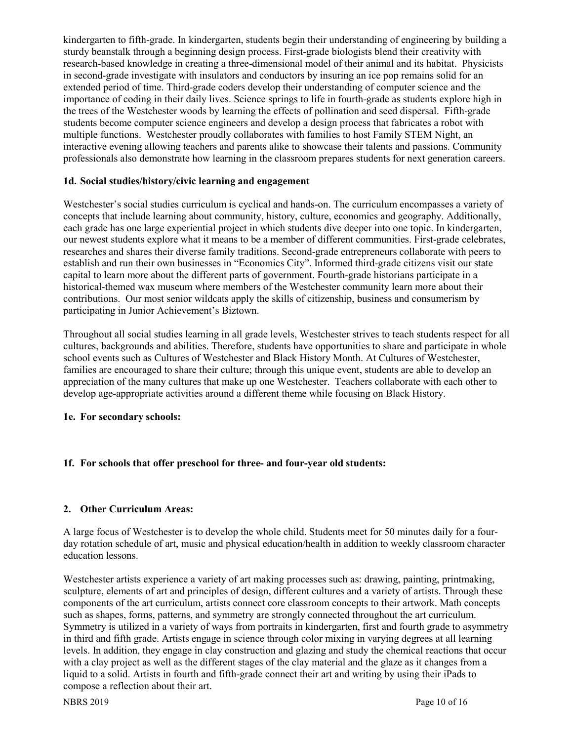kindergarten to fifth-grade. In kindergarten, students begin their understanding of engineering by building a sturdy beanstalk through a beginning design process. First-grade biologists blend their creativity with research-based knowledge in creating a three-dimensional model of their animal and its habitat. Physicists in second-grade investigate with insulators and conductors by insuring an ice pop remains solid for an extended period of time. Third-grade coders develop their understanding of computer science and the importance of coding in their daily lives. Science springs to life in fourth-grade as students explore high in the trees of the Westchester woods by learning the effects of pollination and seed dispersal. Fifth-grade students become computer science engineers and develop a design process that fabricates a robot with multiple functions. Westchester proudly collaborates with families to host Family STEM Night, an interactive evening allowing teachers and parents alike to showcase their talents and passions. Community professionals also demonstrate how learning in the classroom prepares students for next generation careers.

#### **1d. Social studies/history/civic learning and engagement**

Westchester's social studies curriculum is cyclical and hands-on. The curriculum encompasses a variety of concepts that include learning about community, history, culture, economics and geography. Additionally, each grade has one large experiential project in which students dive deeper into one topic. In kindergarten, our newest students explore what it means to be a member of different communities. First-grade celebrates, researches and shares their diverse family traditions. Second-grade entrepreneurs collaborate with peers to establish and run their own businesses in "Economics City". Informed third-grade citizens visit our state capital to learn more about the different parts of government. Fourth-grade historians participate in a historical-themed wax museum where members of the Westchester community learn more about their contributions. Our most senior wildcats apply the skills of citizenship, business and consumerism by participating in Junior Achievement's Biztown.

Throughout all social studies learning in all grade levels, Westchester strives to teach students respect for all cultures, backgrounds and abilities. Therefore, students have opportunities to share and participate in whole school events such as Cultures of Westchester and Black History Month. At Cultures of Westchester, families are encouraged to share their culture; through this unique event, students are able to develop an appreciation of the many cultures that make up one Westchester. Teachers collaborate with each other to develop age-appropriate activities around a different theme while focusing on Black History.

#### **1e. For secondary schools:**

# **1f. For schools that offer preschool for three- and four-year old students:**

# **2. Other Curriculum Areas:**

A large focus of Westchester is to develop the whole child. Students meet for 50 minutes daily for a fourday rotation schedule of art, music and physical education/health in addition to weekly classroom character education lessons.

Westchester artists experience a variety of art making processes such as: drawing, painting, printmaking, sculpture, elements of art and principles of design, different cultures and a variety of artists. Through these components of the art curriculum, artists connect core classroom concepts to their artwork. Math concepts such as shapes, forms, patterns, and symmetry are strongly connected throughout the art curriculum. Symmetry is utilized in a variety of ways from portraits in kindergarten, first and fourth grade to asymmetry in third and fifth grade. Artists engage in science through color mixing in varying degrees at all learning levels. In addition, they engage in clay construction and glazing and study the chemical reactions that occur with a clay project as well as the different stages of the clay material and the glaze as it changes from a liquid to a solid. Artists in fourth and fifth-grade connect their art and writing by using their iPads to compose a reflection about their art.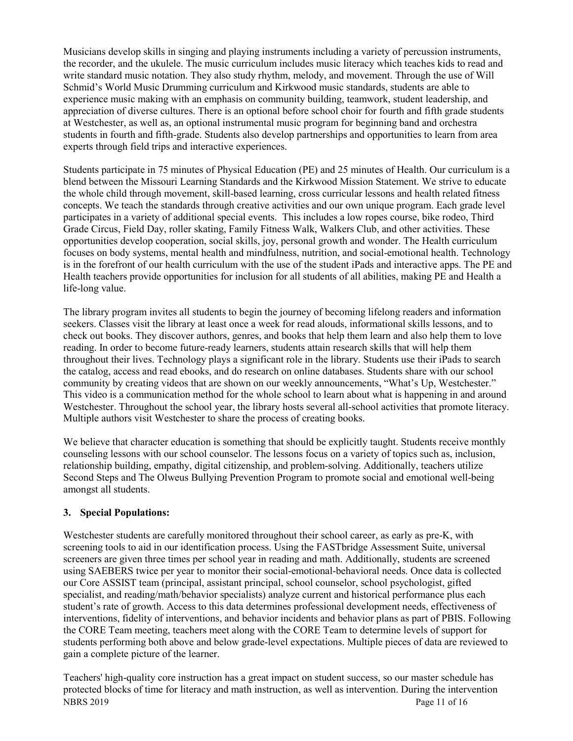Musicians develop skills in singing and playing instruments including a variety of percussion instruments, the recorder, and the ukulele. The music curriculum includes music literacy which teaches kids to read and write standard music notation. They also study rhythm, melody, and movement. Through the use of Will Schmid's World Music Drumming curriculum and Kirkwood music standards, students are able to experience music making with an emphasis on community building, teamwork, student leadership, and appreciation of diverse cultures. There is an optional before school choir for fourth and fifth grade students at Westchester, as well as, an optional instrumental music program for beginning band and orchestra students in fourth and fifth-grade. Students also develop partnerships and opportunities to learn from area experts through field trips and interactive experiences.

Students participate in 75 minutes of Physical Education (PE) and 25 minutes of Health. Our curriculum is a blend between the Missouri Learning Standards and the Kirkwood Mission Statement. We strive to educate the whole child through movement, skill-based learning, cross curricular lessons and health related fitness concepts. We teach the standards through creative activities and our own unique program. Each grade level participates in a variety of additional special events. This includes a low ropes course, bike rodeo, Third Grade Circus, Field Day, roller skating, Family Fitness Walk, Walkers Club, and other activities. These opportunities develop cooperation, social skills, joy, personal growth and wonder. The Health curriculum focuses on body systems, mental health and mindfulness, nutrition, and social-emotional health. Technology is in the forefront of our health curriculum with the use of the student iPads and interactive apps. The PE and Health teachers provide opportunities for inclusion for all students of all abilities, making PE and Health a life-long value.

The library program invites all students to begin the journey of becoming lifelong readers and information seekers. Classes visit the library at least once a week for read alouds, informational skills lessons, and to check out books. They discover authors, genres, and books that help them learn and also help them to love reading. In order to become future-ready learners, students attain research skills that will help them throughout their lives. Technology plays a significant role in the library. Students use their iPads to search the catalog, access and read ebooks, and do research on online databases. Students share with our school community by creating videos that are shown on our weekly announcements, "What's Up, Westchester." This video is a communication method for the whole school to learn about what is happening in and around Westchester. Throughout the school year, the library hosts several all-school activities that promote literacy. Multiple authors visit Westchester to share the process of creating books.

We believe that character education is something that should be explicitly taught. Students receive monthly counseling lessons with our school counselor. The lessons focus on a variety of topics such as, inclusion, relationship building, empathy, digital citizenship, and problem-solving. Additionally, teachers utilize Second Steps and The Olweus Bullying Prevention Program to promote social and emotional well-being amongst all students.

# **3. Special Populations:**

Westchester students are carefully monitored throughout their school career, as early as pre-K, with screening tools to aid in our identification process. Using the FASTbridge Assessment Suite, universal screeners are given three times per school year in reading and math. Additionally, students are screened using SAEBERS twice per year to monitor their social-emotional-behavioral needs. Once data is collected our Core ASSIST team (principal, assistant principal, school counselor, school psychologist, gifted specialist, and reading/math/behavior specialists) analyze current and historical performance plus each student's rate of growth. Access to this data determines professional development needs, effectiveness of interventions, fidelity of interventions, and behavior incidents and behavior plans as part of PBIS. Following the CORE Team meeting, teachers meet along with the CORE Team to determine levels of support for students performing both above and below grade-level expectations. Multiple pieces of data are reviewed to gain a complete picture of the learner.

NBRS 2019 Page 11 of 16 Teachers' high-quality core instruction has a great impact on student success, so our master schedule has protected blocks of time for literacy and math instruction, as well as intervention. During the intervention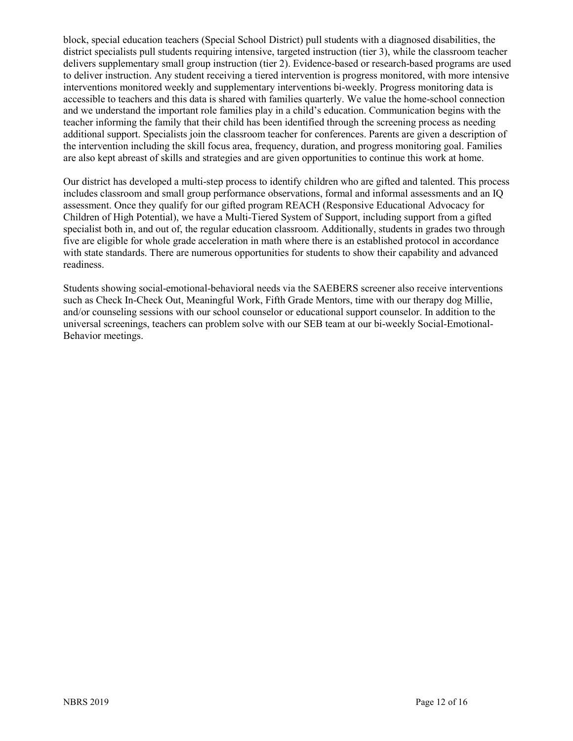block, special education teachers (Special School District) pull students with a diagnosed disabilities, the district specialists pull students requiring intensive, targeted instruction (tier 3), while the classroom teacher delivers supplementary small group instruction (tier 2). Evidence-based or research-based programs are used to deliver instruction. Any student receiving a tiered intervention is progress monitored, with more intensive interventions monitored weekly and supplementary interventions bi-weekly. Progress monitoring data is accessible to teachers and this data is shared with families quarterly. We value the home-school connection and we understand the important role families play in a child's education. Communication begins with the teacher informing the family that their child has been identified through the screening process as needing additional support. Specialists join the classroom teacher for conferences. Parents are given a description of the intervention including the skill focus area, frequency, duration, and progress monitoring goal. Families are also kept abreast of skills and strategies and are given opportunities to continue this work at home.

Our district has developed a multi-step process to identify children who are gifted and talented. This process includes classroom and small group performance observations, formal and informal assessments and an IQ assessment. Once they qualify for our gifted program REACH (Responsive Educational Advocacy for Children of High Potential), we have a Multi-Tiered System of Support, including support from a gifted specialist both in, and out of, the regular education classroom. Additionally, students in grades two through five are eligible for whole grade acceleration in math where there is an established protocol in accordance with state standards. There are numerous opportunities for students to show their capability and advanced readiness.

Students showing social-emotional-behavioral needs via the SAEBERS screener also receive interventions such as Check In-Check Out, Meaningful Work, Fifth Grade Mentors, time with our therapy dog Millie, and/or counseling sessions with our school counselor or educational support counselor. In addition to the universal screenings, teachers can problem solve with our SEB team at our bi-weekly Social-Emotional-Behavior meetings.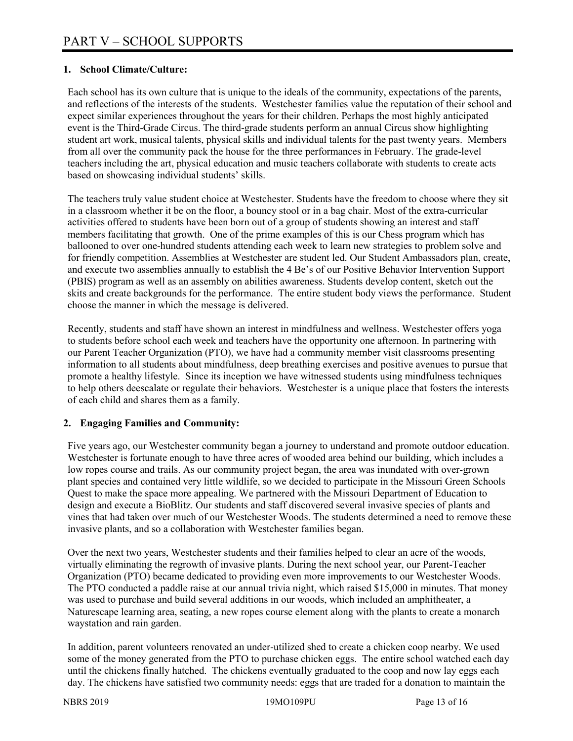### **1. School Climate/Culture:**

Each school has its own culture that is unique to the ideals of the community, expectations of the parents, and reflections of the interests of the students. Westchester families value the reputation of their school and expect similar experiences throughout the years for their children. Perhaps the most highly anticipated event is the Third-Grade Circus. The third-grade students perform an annual Circus show highlighting student art work, musical talents, physical skills and individual talents for the past twenty years. Members from all over the community pack the house for the three performances in February. The grade-level teachers including the art, physical education and music teachers collaborate with students to create acts based on showcasing individual students' skills.

The teachers truly value student choice at Westchester. Students have the freedom to choose where they sit in a classroom whether it be on the floor, a bouncy stool or in a bag chair. Most of the extra-curricular activities offered to students have been born out of a group of students showing an interest and staff members facilitating that growth. One of the prime examples of this is our Chess program which has ballooned to over one-hundred students attending each week to learn new strategies to problem solve and for friendly competition. Assemblies at Westchester are student led. Our Student Ambassadors plan, create, and execute two assemblies annually to establish the 4 Be's of our Positive Behavior Intervention Support (PBIS) program as well as an assembly on abilities awareness. Students develop content, sketch out the skits and create backgrounds for the performance. The entire student body views the performance. Student choose the manner in which the message is delivered.

Recently, students and staff have shown an interest in mindfulness and wellness. Westchester offers yoga to students before school each week and teachers have the opportunity one afternoon. In partnering with our Parent Teacher Organization (PTO), we have had a community member visit classrooms presenting information to all students about mindfulness, deep breathing exercises and positive avenues to pursue that promote a healthy lifestyle. Since its inception we have witnessed students using mindfulness techniques to help others deescalate or regulate their behaviors. Westchester is a unique place that fosters the interests of each child and shares them as a family.

#### **2. Engaging Families and Community:**

Five years ago, our Westchester community began a journey to understand and promote outdoor education. Westchester is fortunate enough to have three acres of wooded area behind our building, which includes a low ropes course and trails. As our community project began, the area was inundated with over-grown plant species and contained very little wildlife, so we decided to participate in the Missouri Green Schools Quest to make the space more appealing. We partnered with the Missouri Department of Education to design and execute a BioBlitz. Our students and staff discovered several invasive species of plants and vines that had taken over much of our Westchester Woods. The students determined a need to remove these invasive plants, and so a collaboration with Westchester families began.

Over the next two years, Westchester students and their families helped to clear an acre of the woods, virtually eliminating the regrowth of invasive plants. During the next school year, our Parent-Teacher Organization (PTO) became dedicated to providing even more improvements to our Westchester Woods. The PTO conducted a paddle raise at our annual trivia night, which raised \$15,000 in minutes. That money was used to purchase and build several additions in our woods, which included an amphitheater, a Naturescape learning area, seating, a new ropes course element along with the plants to create a monarch waystation and rain garden.

In addition, parent volunteers renovated an under-utilized shed to create a chicken coop nearby. We used some of the money generated from the PTO to purchase chicken eggs. The entire school watched each day until the chickens finally hatched. The chickens eventually graduated to the coop and now lay eggs each day. The chickens have satisfied two community needs: eggs that are traded for a donation to maintain the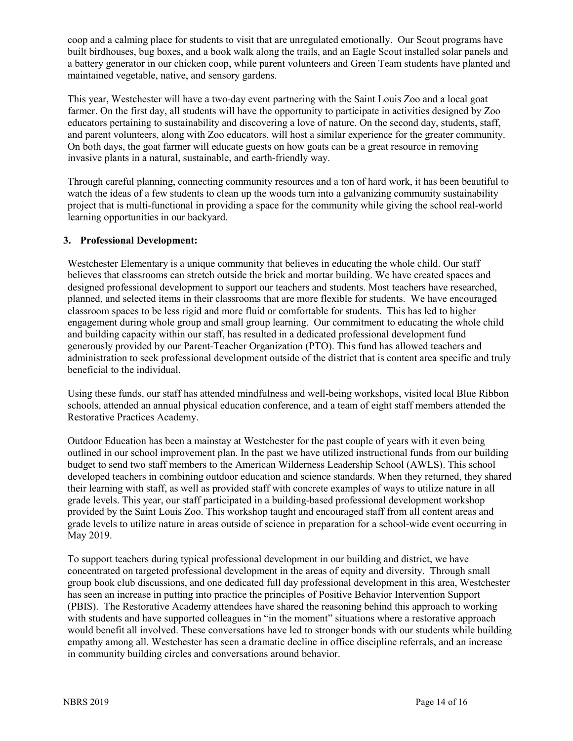coop and a calming place for students to visit that are unregulated emotionally. Our Scout programs have built birdhouses, bug boxes, and a book walk along the trails, and an Eagle Scout installed solar panels and a battery generator in our chicken coop, while parent volunteers and Green Team students have planted and maintained vegetable, native, and sensory gardens.

This year, Westchester will have a two-day event partnering with the Saint Louis Zoo and a local goat farmer. On the first day, all students will have the opportunity to participate in activities designed by Zoo educators pertaining to sustainability and discovering a love of nature. On the second day, students, staff, and parent volunteers, along with Zoo educators, will host a similar experience for the greater community. On both days, the goat farmer will educate guests on how goats can be a great resource in removing invasive plants in a natural, sustainable, and earth-friendly way.

Through careful planning, connecting community resources and a ton of hard work, it has been beautiful to watch the ideas of a few students to clean up the woods turn into a galvanizing community sustainability project that is multi-functional in providing a space for the community while giving the school real-world learning opportunities in our backyard.

#### **3. Professional Development:**

Westchester Elementary is a unique community that believes in educating the whole child. Our staff believes that classrooms can stretch outside the brick and mortar building. We have created spaces and designed professional development to support our teachers and students. Most teachers have researched, planned, and selected items in their classrooms that are more flexible for students. We have encouraged classroom spaces to be less rigid and more fluid or comfortable for students. This has led to higher engagement during whole group and small group learning. Our commitment to educating the whole child and building capacity within our staff, has resulted in a dedicated professional development fund generously provided by our Parent-Teacher Organization (PTO). This fund has allowed teachers and administration to seek professional development outside of the district that is content area specific and truly beneficial to the individual.

Using these funds, our staff has attended mindfulness and well-being workshops, visited local Blue Ribbon schools, attended an annual physical education conference, and a team of eight staff members attended the Restorative Practices Academy.

Outdoor Education has been a mainstay at Westchester for the past couple of years with it even being outlined in our school improvement plan. In the past we have utilized instructional funds from our building budget to send two staff members to the American Wilderness Leadership School (AWLS). This school developed teachers in combining outdoor education and science standards. When they returned, they shared their learning with staff, as well as provided staff with concrete examples of ways to utilize nature in all grade levels. This year, our staff participated in a building-based professional development workshop provided by the Saint Louis Zoo. This workshop taught and encouraged staff from all content areas and grade levels to utilize nature in areas outside of science in preparation for a school-wide event occurring in May 2019.

To support teachers during typical professional development in our building and district, we have concentrated on targeted professional development in the areas of equity and diversity. Through small group book club discussions, and one dedicated full day professional development in this area, Westchester has seen an increase in putting into practice the principles of Positive Behavior Intervention Support (PBIS). The Restorative Academy attendees have shared the reasoning behind this approach to working with students and have supported colleagues in "in the moment" situations where a restorative approach would benefit all involved. These conversations have led to stronger bonds with our students while building empathy among all. Westchester has seen a dramatic decline in office discipline referrals, and an increase in community building circles and conversations around behavior.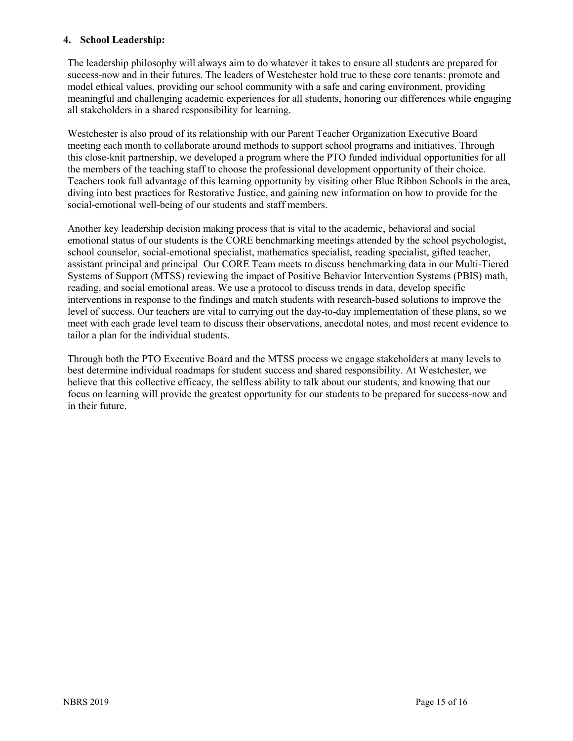#### **4. School Leadership:**

The leadership philosophy will always aim to do whatever it takes to ensure all students are prepared for success-now and in their futures. The leaders of Westchester hold true to these core tenants: promote and model ethical values, providing our school community with a safe and caring environment, providing meaningful and challenging academic experiences for all students, honoring our differences while engaging all stakeholders in a shared responsibility for learning.

Westchester is also proud of its relationship with our Parent Teacher Organization Executive Board meeting each month to collaborate around methods to support school programs and initiatives. Through this close-knit partnership, we developed a program where the PTO funded individual opportunities for all the members of the teaching staff to choose the professional development opportunity of their choice. Teachers took full advantage of this learning opportunity by visiting other Blue Ribbon Schools in the area, diving into best practices for Restorative Justice, and gaining new information on how to provide for the social-emotional well-being of our students and staff members.

Another key leadership decision making process that is vital to the academic, behavioral and social emotional status of our students is the CORE benchmarking meetings attended by the school psychologist, school counselor, social-emotional specialist, mathematics specialist, reading specialist, gifted teacher, assistant principal and principal Our CORE Team meets to discuss benchmarking data in our Multi-Tiered Systems of Support (MTSS) reviewing the impact of Positive Behavior Intervention Systems (PBIS) math, reading, and social emotional areas. We use a protocol to discuss trends in data, develop specific interventions in response to the findings and match students with research-based solutions to improve the level of success. Our teachers are vital to carrying out the day-to-day implementation of these plans, so we meet with each grade level team to discuss their observations, anecdotal notes, and most recent evidence to tailor a plan for the individual students.

Through both the PTO Executive Board and the MTSS process we engage stakeholders at many levels to best determine individual roadmaps for student success and shared responsibility. At Westchester, we believe that this collective efficacy, the selfless ability to talk about our students, and knowing that our focus on learning will provide the greatest opportunity for our students to be prepared for success-now and in their future.